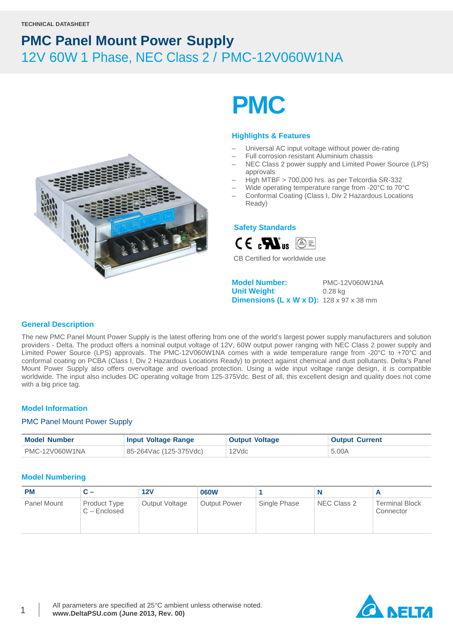

# **PMC**

#### **Highlights & Features**

- Universal AC input voltage without power de-rating
- Full corrosion resistant Aluminium chassis
- NEC Class 2 power supply and Limited Power Source (LPS) approvals
- High MTBF > 700,000 hrs. as per Telcordia SR-332
- Wide operating temperature range from -20°C to 70°C
- Conformal Coating (Class I, Div 2 Hazardous Locations Ready)

#### **Safety Standards**



CB Certified for worldwide use

**Model Number:** PMC-12V060W1NA **Unit Weight**: 0.28 kg **Dimensions (L x W x D):** 128 x 97 x 38 mm

#### **General Description**

The new PMC Panel Mount Power Supply is the latest offering from one of the world's largest power supply manufacturers and solution providers - Delta. The product offers a nominal output voltage of 12V, 60W output power ranging with NEC Class 2 power supply and Limited Power Source (LPS) approvals. The PMC-12V060W1NA comes with a wide temperature range from -20°C to +70°C and conformal coating on PCBA (Class I, Div 2 Hazardous Locations Ready) to protect against chemical and dust pollutants. Delta's Panel Mount Power Supply also offers overvoltage and overload protection. Using a wide input voltage range design, it is compatible worldwide. The input also includes DC operating voltage from 125-375Vdc. Best of all, this excellent design and quality does not come with a big price tag.

#### **Model Information**

#### PMC Panel Mount Power Supply

| <b>Model Number</b> | <b>Input Voltage Range</b> | <b>Output Voltage</b> | <b>Output Current</b> |
|---------------------|----------------------------|-----------------------|-----------------------|
| PMC-12V060W1NA      | 85-264Vac (125-375Vdc)     | 12Vdc                 | 5.00A                 |

#### **Model Numbering**

| <b>PM</b>   | C –                            | 12V            | <b>060W</b>         |              | N           |                                    |
|-------------|--------------------------------|----------------|---------------------|--------------|-------------|------------------------------------|
| Panel Mount | Product Type<br>$C$ – Enclosed | Output Voltage | <b>Output Power</b> | Single Phase | NEC Class 2 | <b>Terminal Block</b><br>Connector |

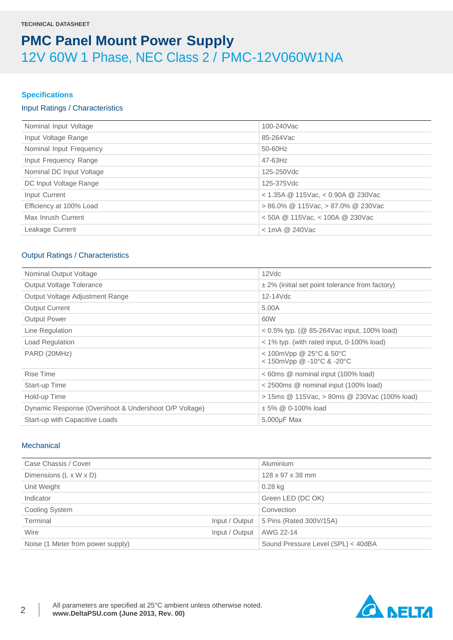#### **Specifications**

#### Input Ratings / Characteristics

| Nominal Input Voltage    | 100-240Vac                               |
|--------------------------|------------------------------------------|
| Input Voltage Range      | 85-264Vac                                |
| Nominal Input Frequency  | 50-60Hz                                  |
| Input Frequency Range    | $47-63$ Hz                               |
| Nominal DC Input Voltage | 125-250Vdc                               |
| DC Input Voltage Range   | 125-375Vdc                               |
| Input Current            | $<$ 1.35A @ 115Vac, $<$ 0.90A @ 230Vac   |
| Efficiency at 100% Load  | $> 86.0\%$ @ 115Vac, $> 87.0\%$ @ 230Vac |
| Max Inrush Current       | $<$ 50A @ 115Vac, $<$ 100A @ 230Vac      |
| Leakage Current          | $<$ 1mA @ 240Vac                         |

#### Output Ratings / Characteristics

| Nominal Output Voltage                                | 12Vdc                                                                      |
|-------------------------------------------------------|----------------------------------------------------------------------------|
| <b>Output Voltage Tolerance</b>                       | $\pm$ 2% (initial set point tolerance from factory)                        |
| Output Voltage Adjustment Range                       | 12-14Vdc                                                                   |
| <b>Output Current</b>                                 | 5.00A                                                                      |
| <b>Output Power</b>                                   | 60W                                                                        |
| Line Regulation                                       | $0.5\%$ typ. (@ 85-264Vac input, 100% load)                                |
| Load Regulation                                       | $<$ 1% typ. (with rated input, 0-100% load)                                |
| PARD (20MHz)                                          | < 100mVpp @ 25 $^{\circ}$ C & 50 $^{\circ}$ C<br>< 150mVpp @ -10°C & -20°C |
| Rise Time                                             | < 60ms @ nominal input (100% load)                                         |
| Start-up Time                                         | < 2500ms @ nominal input (100% load)                                       |
| Hold-up Time                                          | > 15ms @ 115Vac, > 80ms @ 230Vac (100% load)                               |
| Dynamic Response (Overshoot & Undershoot O/P Voltage) | ± 5% @ 0-100% load                                                         |
| Start-up with Capacitive Loads                        | 5,000µF Max                                                                |

#### **Mechanical**

| Case Chassis / Cover              |                | Aluminium                          |
|-----------------------------------|----------------|------------------------------------|
| Dimensions (L x W x D)            |                | 128 x 97 x 38 mm                   |
| Unit Weight                       |                | $0.28$ kg                          |
| Indicator                         |                | Green LED (DC OK)                  |
| Cooling System                    |                | Convection                         |
| Terminal                          | Input / Output | 5 Pins (Rated 300V/15A)            |
| Wire                              | Input / Output | AWG 22-14                          |
| Noise (1 Meter from power supply) |                | Sound Pressure Level (SPL) < 40dBA |

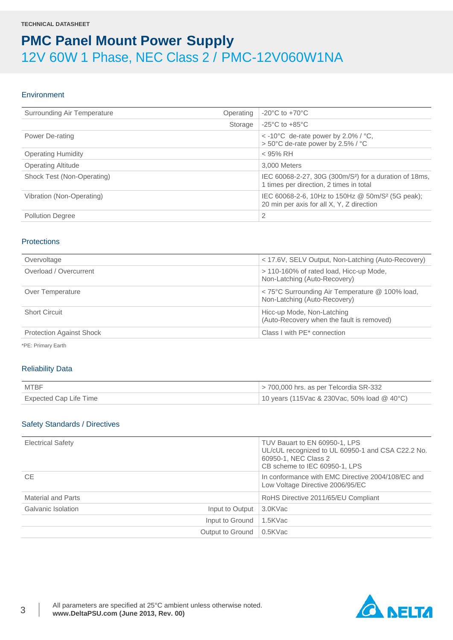#### **Environment**

| Surrounding Air Temperature | Operating | $-20^{\circ}$ C to $+70^{\circ}$ C                                                                            |
|-----------------------------|-----------|---------------------------------------------------------------------------------------------------------------|
|                             | Storage   | $-25^{\circ}$ C to $+85^{\circ}$ C                                                                            |
| Power De-rating             |           | $\epsilon$ -10°C de-rate power by 2.0% / °C,<br>> 50°C de-rate power by 2.5% / °C                             |
| <b>Operating Humidity</b>   |           | $<$ 95% RH                                                                                                    |
| <b>Operating Altitude</b>   |           | 3.000 Meters                                                                                                  |
| Shock Test (Non-Operating)  |           | IEC 60068-2-27, 30G (300m/S <sup>2</sup> ) for a duration of 18ms,<br>1 times per direction, 2 times in total |
| Vibration (Non-Operating)   |           | IEC 60068-2-6, 10Hz to 150Hz @ 50m/S <sup>2</sup> (5G peak);<br>20 min per axis for all X, Y, Z direction     |
| <b>Pollution Degree</b>     |           | 2                                                                                                             |

#### **Protections**

| Overvoltage                     | < 17.6V, SELV Output, Non-Latching (Auto-Recovery)                              |
|---------------------------------|---------------------------------------------------------------------------------|
| Overload / Overcurrent          | > 110-160% of rated load, Hicc-up Mode,<br>Non-Latching (Auto-Recovery)         |
| Over Temperature                | < 75°C Surrounding Air Temperature @ 100% load,<br>Non-Latching (Auto-Recovery) |
| <b>Short Circuit</b>            | Hicc-up Mode, Non-Latching<br>(Auto-Recovery when the fault is removed)         |
| <b>Protection Against Shock</b> | Class I with PE* connection                                                     |

\*PE: Primary Earth

#### Reliability Data

| <b>MTBF</b>            | $>$ 700,000 hrs. as per Telcordia SR-332      |
|------------------------|-----------------------------------------------|
| Expected Cap Life Time | 10 years (115Vac & 230Vac, 50% load $@$ 40°C) |

#### Safety Standards / Directives

| <b>Electrical Safety</b>  |                  | TUV Bauart to EN 60950-1, LPS<br>UL/cUL recognized to UL 60950-1 and CSA C22.2 No.<br>60950-1, NEC Class 2<br>CB scheme to IEC 60950-1, LPS |
|---------------------------|------------------|---------------------------------------------------------------------------------------------------------------------------------------------|
| <b>CE</b>                 |                  | In conformance with EMC Directive 2004/108/EC and<br>Low Voltage Directive 2006/95/EC                                                       |
| <b>Material and Parts</b> |                  | RoHS Directive 2011/65/EU Compliant                                                                                                         |
| Galvanic Isolation        | Input to Output  | 3.0KVac                                                                                                                                     |
|                           | Input to Ground  | 1.5KVac                                                                                                                                     |
|                           | Output to Ground | 0.5KVac                                                                                                                                     |

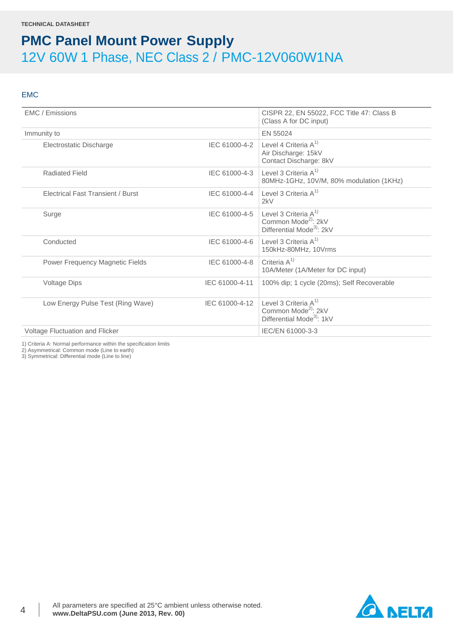#### EMC

| EMC / Emissions                          |                | CISPR 22, EN 55022, FCC Title 47: Class B<br>(Class A for DC input)                                 |
|------------------------------------------|----------------|-----------------------------------------------------------------------------------------------------|
| Immunity to                              |                | EN 55024                                                                                            |
| Electrostatic Discharge                  | IEC 61000-4-2  | Level 4 Criteria $A^{1}$<br>Air Discharge: 15kV<br>Contact Discharge: 8kV                           |
| <b>Radiated Field</b>                    | IEC 61000-4-3  | Level 3 Criteria A <sup>1)</sup><br>80MHz-1GHz, 10V/M, 80% modulation (1KHz)                        |
| <b>Electrical Fast Transient / Burst</b> | IEC 61000-4-4  | Level 3 Criteria $A^{1}$<br>2kV                                                                     |
| Surge                                    | IEC 61000-4-5  | Level 3 Criteria $A^{1}$<br>Common Mode <sup>2)</sup> : 2kV<br>Differential Mode <sup>3</sup> : 2kV |
| Conducted                                | IEC 61000-4-6  | Level 3 Criteria $A^{1}$<br>150kHz-80MHz, 10Vrms                                                    |
| Power Frequency Magnetic Fields          | IEC 61000-4-8  | Criteria $A^{1}$<br>10A/Meter (1A/Meter for DC input)                                               |
| Voltage Dips                             | IEC 61000-4-11 | 100% dip; 1 cycle (20ms); Self Recoverable                                                          |
| Low Energy Pulse Test (Ring Wave)        | IEC 61000-4-12 | Level 3 Criteria $A^{1}$<br>Common Mode <sup>2)</sup> : 2kV<br>Differential Mode <sup>3</sup> : 1kV |
| Voltage Fluctuation and Flicker          |                | IEC/EN 61000-3-3                                                                                    |
|                                          |                |                                                                                                     |

1) Criteria A: Normal performance within the specification limits

2) Asymmetrical: Common mode (Line to earth)

3) Symmetrical: Differential mode (Line to line)

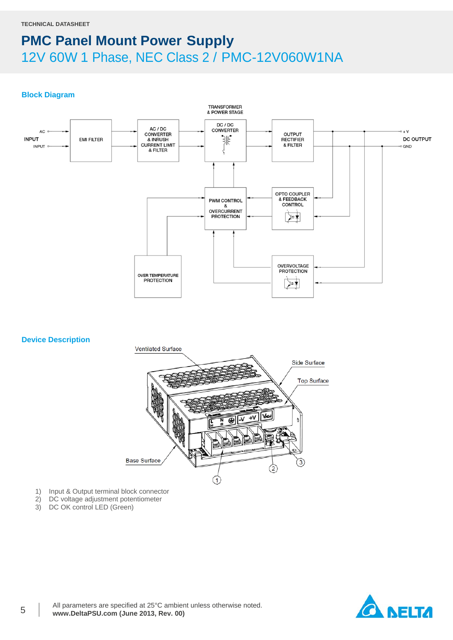#### **Block Diagram**



#### **Device Description**



- 1) Input & Output terminal block connector<br>2) DC voltage adjustment potentiometer
- 2) DC voltage adjustment potentiometer<br>3) DC OK control LED (Green)
- DC OK control LED (Green)

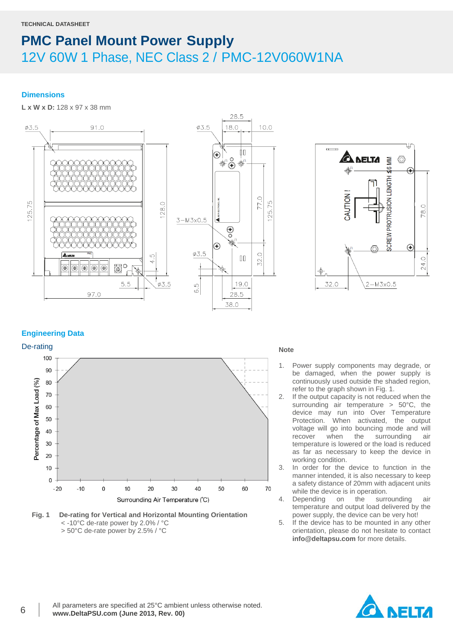#### **Dimensions**

**L x W x D:** 128 x 97 x 38 mm





#### **Engineering Data**







- 1. Power supply components may degrade, or be damaged, when the power supply is continuously used outside the shaded region, refer to the graph shown in Fig. 1.
- 2. If the output capacity is not reduced when the surrounding air temperature > 50°C, the device may run into Over Temperature Protection. When activated, the output voltage will go into bouncing mode and will recover when the surrounding air temperature is lowered or the load is reduced as far as necessary to keep the device in working condition.
- 3. In order for the device to function in the manner intended, it is also necessary to keep a safety distance of 20mm with adjacent units while the device is in operation.<br>Depending on the surre
- 4. Depending on the surrounding air temperature and output load delivered by the power supply, the device can be very hot!
- 5. If the device has to be mounted in any other orientation, please do not hesitate to contact **info@deltapsu.com** for more details.

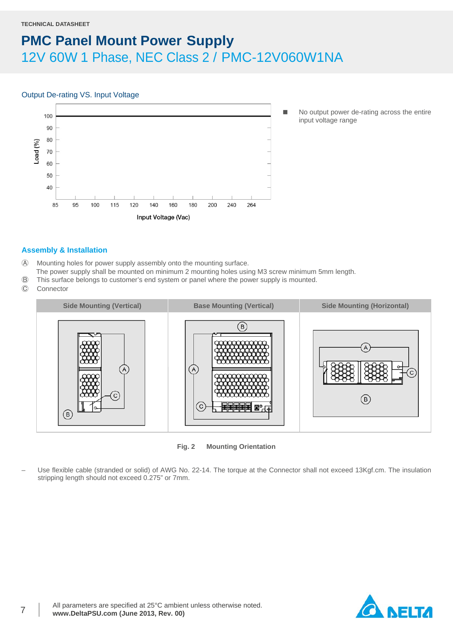#### Output De-rating VS. Input Voltage



No output power de-rating across the entire input voltage range

#### **Assembly & Installation**

- Ⓐ Mounting holes for power supply assembly onto the mounting surface.
- The power supply shall be mounted on minimum 2 mounting holes using M3 screw minimum 5mm length.
- Ⓑ This surface belongs to customer's end system or panel where the power supply is mounted.
- Ⓒ Connector



**Fig. 2 Mounting Orientation**

– Use flexible cable (stranded or solid) of AWG No. 22-14. The torque at the Connector shall not exceed 13Kgf.cm. The insulation stripping length should not exceed 0.275" or 7mm.

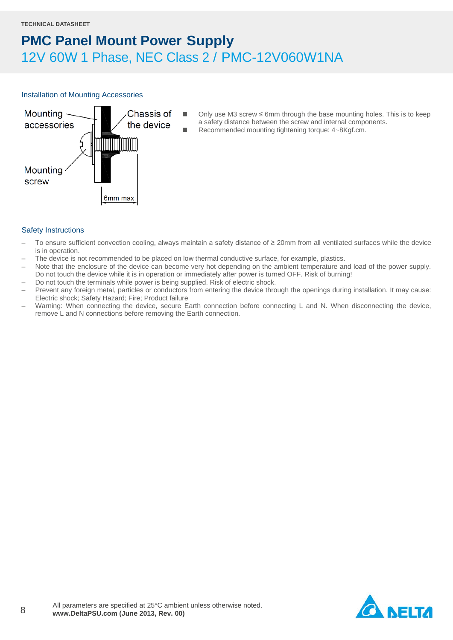#### Installation of Mounting Accessories



Only use M3 screw  $\leq$  6mm through the base mounting holes. This is to keep a safety distance between the screw and internal components. Recommended mounting tightening torque: 4~8Kgf.cm.

- Safety Instructions
- To ensure sufficient convection cooling, always maintain a safety distance of ≥ 20mm from all ventilated surfaces while the device is in operation.
- The device is not recommended to be placed on low thermal conductive surface, for example, plastics.
- Note that the enclosure of the device can become very hot depending on the ambient temperature and load of the power supply. Do not touch the device while it is in operation or immediately after power is turned OFF. Risk of burning!
- Do not touch the terminals while power is being supplied. Risk of electric shock.
- Prevent any foreign metal, particles or conductors from entering the device through the openings during installation. It may cause: Electric shock; Safety Hazard; Fire; Product failure
- Warning: When connecting the device, secure Earth connection before connecting L and N. When disconnecting the device, remove L and N connections before removing the Earth connection.

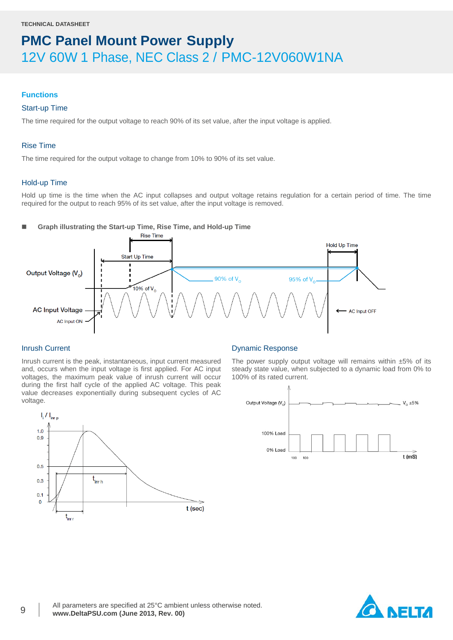#### **Functions**

#### Start-up Time

The time required for the output voltage to reach 90% of its set value, after the input voltage is applied.

#### Rise Time

The time required for the output voltage to change from 10% to 90% of its set value.

#### Hold-up Time

Hold up time is the time when the AC input collapses and output voltage retains regulation for a certain period of time. The time required for the output to reach 95% of its set value, after the input voltage is removed.

**Graph illustrating the Start-up Time, Rise Time, and Hold-up Time**



t (sec)

#### Inrush Current

 $\left.\right|_i / \left.\right|_{i \text{err}}$ 

 $1.0$ 

 $0.9$ 

 $0.5$ 

 $0.3$  $0.1$  $\overline{0}$ 

Inrush current is the peak, instantaneous, input current measured and, occurs when the input voltage is first applied. For AC input voltages, the maximum peak value of inrush current will occur during the first half cycle of the applied AC voltage. This peak value decreases exponentially during subsequent cycles of AC voltage.

 $t_{\text{intr h}}$ 

 $t_{\sf inri}$ 



The power supply output voltage will remains within  $±5\%$  of its steady state value, when subjected to a dynamic load from 0% to 100% of its rated current.